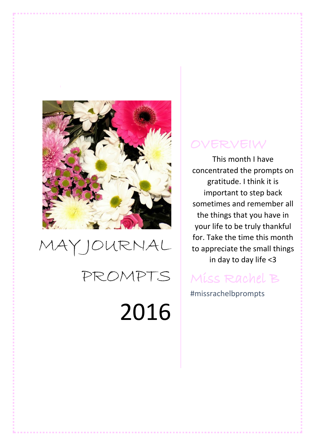

## MAY JOURNAL PROMPTS 2016

## OVERVEIW

This month I have concentrated the prompts on gratitude. I think it is important to step back sometimes and remember all the things that you have in your life to be truly thankful for. Take the time this month to appreciate the small things in day to day life <3

## Miss Rachel B

#missrachelbprompts